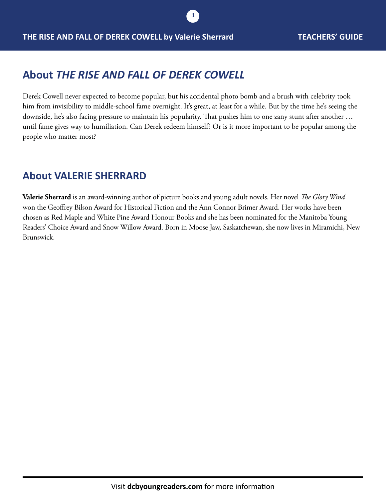# **About** *THE RISE AND FALL OF DEREK COWELL*

Derek Cowell never expected to become popular, but his accidental photo bomb and a brush with celebrity took him from invisibility to middle-school fame overnight. It's great, at least for a while. But by the time he's seeing the downside, he's also facing pressure to maintain his popularity. That pushes him to one zany stunt after another … until fame gives way to humiliation. Can Derek redeem himself? Or is it more important to be popular among the people who matter most?

**1**

#### **About VALERIE SHERRARD**

**Valerie Sherrard** is an award-winning author of picture books and young adult novels. Her novel *The Glory Wind* won the Geoffrey Bilson Award for Historical Fiction and the Ann Connor Brimer Award. Her works have been chosen as Red Maple and White Pine Award Honour Books and she has been nominated for the Manitoba Young Readers' Choice Award and Snow Willow Award. Born in Moose Jaw, Saskatchewan, she now lives in Miramichi, New Brunswick.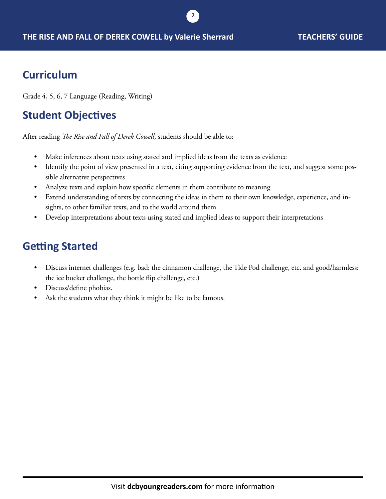## **Curriculum**

Grade 4, 5, 6, 7 Language (Reading, Writing)

# **Student Objectives**

After reading *The Rise and Fall of Derek Cowell*, students should be able to:

- Make inferences about texts using stated and implied ideas from the texts as evidence
- Identify the point of view presented in a text, citing supporting evidence from the text, and suggest some possible alternative perspectives

**2**

- Analyze texts and explain how specific elements in them contribute to meaning
- Extend understanding of texts by connecting the ideas in them to their own knowledge, experience, and insights, to other familiar texts, and to the world around them
- Develop interpretations about texts using stated and implied ideas to support their interpretations

## **Getting Started**

- Discuss internet challenges (e.g. bad: the cinnamon challenge, the Tide Pod challenge, etc. and good/harmless: the ice bucket challenge, the bottle flip challenge, etc.)
- Discuss/define phobias.
- Ask the students what they think it might be like to be famous.